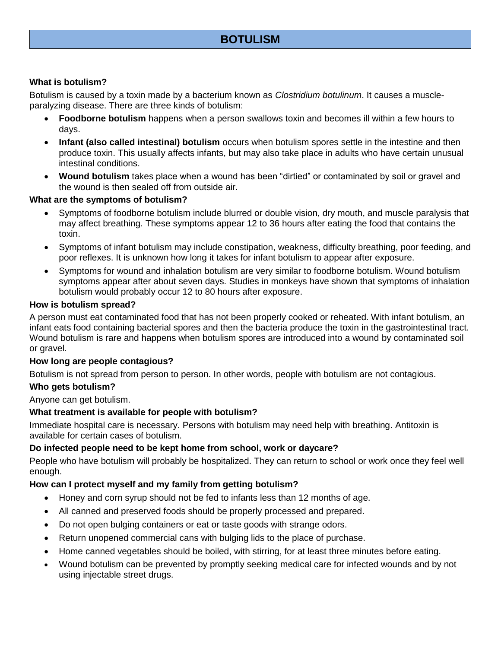# **BOTULISM**

### **What is botulism?**

Botulism is caused by a toxin made by a bacterium known as *Clostridium botulinum*. It causes a muscleparalyzing disease. There are three kinds of botulism:

- **Foodborne botulism** happens when a person swallows toxin and becomes ill within a few hours to days.
- **Infant (also called intestinal) botulism** occurs when botulism spores settle in the intestine and then produce toxin. This usually affects infants, but may also take place in adults who have certain unusual intestinal conditions.
- **Wound botulism** takes place when a wound has been "dirtied" or contaminated by soil or gravel and the wound is then sealed off from outside air.

### **What are the symptoms of botulism?**

- Symptoms of foodborne botulism include blurred or double vision, dry mouth, and muscle paralysis that may affect breathing. These symptoms appear 12 to 36 hours after eating the food that contains the toxin.
- Symptoms of infant botulism may include constipation, weakness, difficulty breathing, poor feeding, and poor reflexes. It is unknown how long it takes for infant botulism to appear after exposure.
- Symptoms for wound and inhalation botulism are very similar to foodborne botulism. Wound botulism symptoms appear after about seven days. Studies in monkeys have shown that symptoms of inhalation botulism would probably occur 12 to 80 hours after exposure.

#### **How is botulism spread?**

A person must eat contaminated food that has not been properly cooked or reheated. With infant botulism, an infant eats food containing bacterial spores and then the bacteria produce the toxin in the gastrointestinal tract. Wound botulism is rare and happens when botulism spores are introduced into a wound by contaminated soil or gravel.

### **How long are people contagious?**

Botulism is not spread from person to person. In other words, people with botulism are not contagious.

### **Who gets botulism?**

Anyone can get botulism.

### **What treatment is available for people with botulism?**

Immediate hospital care is necessary. Persons with botulism may need help with breathing. Antitoxin is available for certain cases of botulism.

### **Do infected people need to be kept home from school, work or daycare?**

People who have botulism will probably be hospitalized. They can return to school or work once they feel well enough.

### **How can I protect myself and my family from getting botulism?**

- Honey and corn syrup should not be fed to infants less than 12 months of age.
- All canned and preserved foods should be properly processed and prepared.
- Do not open bulging containers or eat or taste goods with strange odors.
- Return unopened commercial cans with bulging lids to the place of purchase.
- Home canned vegetables should be boiled, with stirring, for at least three minutes before eating.
- Wound botulism can be prevented by promptly seeking medical care for infected wounds and by not using injectable street drugs.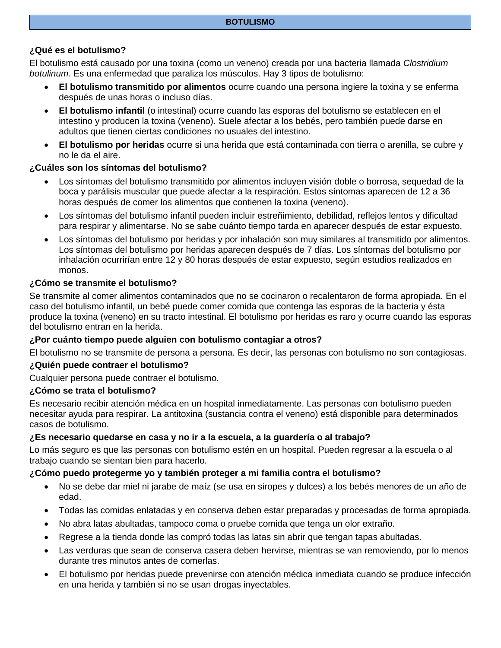# **¿Qué es el botulismo?**

El botulismo está causado por una toxina (como un veneno) creada por una bacteria llamada *Clostridium botulinum*. Es una enfermedad que paraliza los músculos. Hay 3 tipos de botulismo:

- **El botulismo transmitido por alimentos** ocurre cuando una persona ingiere la toxina y se enferma después de unas horas o incluso días.
- **El botulismo infantil** (o intestinal) ocurre cuando las esporas del botulismo se establecen en el intestino y producen la toxina (veneno). Suele afectar a los bebés, pero también puede darse en adultos que tienen ciertas condiciones no usuales del intestino.
- **El botulismo por heridas** ocurre si una herida que está contaminada con tierra o arenilla, se cubre y no le da el aire.

### **¿Cuáles son los síntomas del botulismo?**

- Los síntomas del botulismo transmitido por alimentos incluyen visión doble o borrosa, sequedad de la boca y parálisis muscular que puede afectar a la respiración. Estos síntomas aparecen de 12 a 36 horas después de comer los alimentos que contienen la toxina (veneno).
- Los síntomas del botulismo infantil pueden incluir estreñimiento, debilidad, reflejos lentos y dificultad para respirar y alimentarse. No se sabe cuánto tiempo tarda en aparecer después de estar expuesto.
- Los síntomas del botulismo por heridas y por inhalación son muy similares al transmitido por alimentos. Los síntomas del botulismo por heridas aparecen después de 7 días. Los síntomas del botulismo por inhalación ocurrirían entre 12 y 80 horas después de estar expuesto, según estudios realizados en monos.

# **¿Cómo se transmite el botulismo?**

Se transmite al comer alimentos contaminados que no se cocinaron o recalentaron de forma apropiada. En el caso del botulismo infantil, un bebé puede comer comida que contenga las esporas de la bacteria y ésta produce la toxina (veneno) en su tracto intestinal. El botulismo por heridas es raro y ocurre cuando las esporas del botulismo entran en la herida.

### **¿Por cuánto tiempo puede alguien con botulismo contagiar a otros?**

El botulismo no se transmite de persona a persona. Es decir, las personas con botulismo no son contagiosas.

### **¿Quién puede contraer el botulismo?**

Cualquier persona puede contraer el botulismo.

# **¿Cómo se trata el botulismo?**

Es necesario recibir atención médica en un hospital inmediatamente. Las personas con botulismo pueden necesitar ayuda para respirar. La antitoxina (sustancia contra el veneno) está disponible para determinados casos de botulismo.

# **¿Es necesario quedarse en casa y no ir a la escuela, a la guardería o al trabajo?**

Lo más seguro es que las personas con botulismo estén en un hospital. Pueden regresar a la escuela o al trabajo cuando se sientan bien para hacerlo.

### **¿Cómo puedo protegerme yo y también proteger a mi familia contra el botulismo?**

- No se debe dar miel ni jarabe de maíz (se usa en siropes y dulces) a los bebés menores de un año de edad.
- Todas las comidas enlatadas y en conserva deben estar preparadas y procesadas de forma apropiada.
- No abra latas abultadas, tampoco coma o pruebe comida que tenga un olor extraño.
- Regrese a la tienda donde las compró todas las latas sin abrir que tengan tapas abultadas.
- Las verduras que sean de conserva casera deben hervirse, mientras se van removiendo, por lo menos durante tres minutos antes de comerlas.
- El botulismo por heridas puede prevenirse con atención médica inmediata cuando se produce infección en una herida y también si no se usan drogas inyectables.